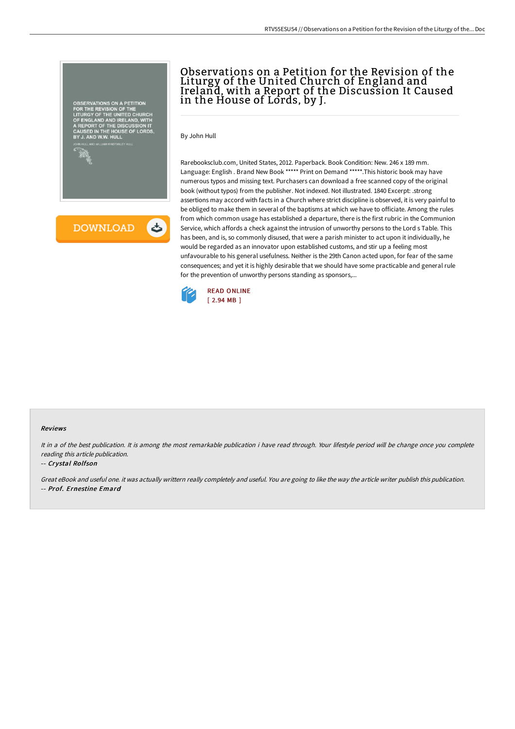



# Observations on a Petition for the Revision of the Liturgy of the United Church of England and Ireland, with a Report of the Discussion It Caused in the House of Lords, by J.

By John Hull

Rarebooksclub.com, United States, 2012. Paperback. Book Condition: New. 246 x 189 mm. Language: English . Brand New Book \*\*\*\*\* Print on Demand \*\*\*\*\*.This historic book may have numerous typos and missing text. Purchasers can download a free scanned copy of the original book (without typos) from the publisher. Not indexed. Not illustrated. 1840 Excerpt: .strong assertions may accord with facts in a Church where strict discipline is observed, it is very painful to be obliged to make them in several of the baptisms at which we have to officiate. Among the rules from which common usage has established a departure, there is the first rubric in the Communion Service, which affords a check against the intrusion of unworthy persons to the Lord s Table. This has been, and is, so commonly disused, that were a parish minister to act upon it individually, he would be regarded as an innovator upon established customs, and stir up a feeling most unfavourable to his general usefulness. Neither is the 29th Canon acted upon, for fear of the same consequences; and yet it is highly desirable that we should have some practicable and general rule for the prevention of unworthy persons standing as sponsors,...



#### Reviews

It in <sup>a</sup> of the best publication. It is among the most remarkable publication i have read through. Your lifestyle period will be change once you complete reading this article publication.

#### -- Crystal Rolfson

Great eBook and useful one. it was actually writtern really completely and useful. You are going to like the way the article writer publish this publication. -- Prof. Ernestine Emard